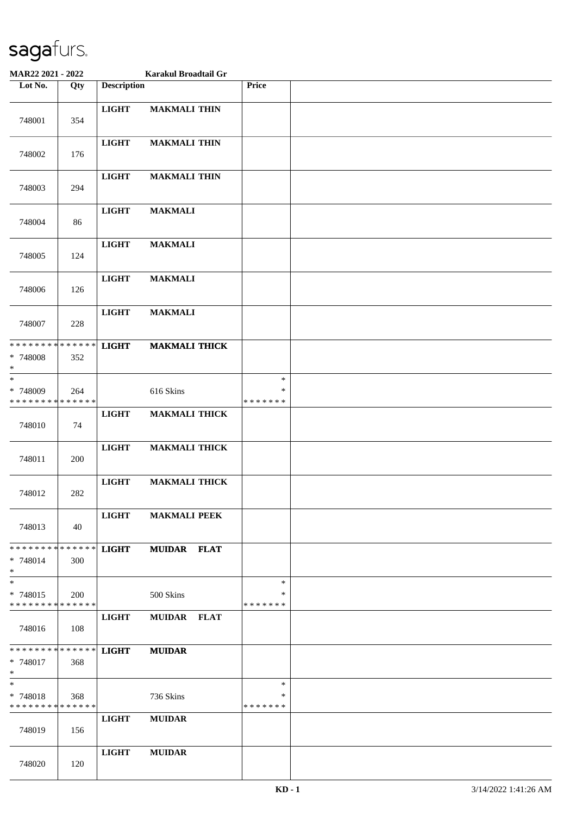| MAR22 2021 - 2022                                   |     |                    | Karakul Broadtail Gr |                              |  |
|-----------------------------------------------------|-----|--------------------|----------------------|------------------------------|--|
| Lot No.                                             | Qty | <b>Description</b> |                      | Price                        |  |
| 748001                                              | 354 | <b>LIGHT</b>       | <b>MAKMALI THIN</b>  |                              |  |
| 748002                                              | 176 | <b>LIGHT</b>       | <b>MAKMALI THIN</b>  |                              |  |
| 748003                                              | 294 | <b>LIGHT</b>       | <b>MAKMALI THIN</b>  |                              |  |
| 748004                                              | 86  | <b>LIGHT</b>       | <b>MAKMALI</b>       |                              |  |
| 748005                                              | 124 | <b>LIGHT</b>       | <b>MAKMALI</b>       |                              |  |
| 748006                                              | 126 | <b>LIGHT</b>       | <b>MAKMALI</b>       |                              |  |
| 748007                                              | 228 | <b>LIGHT</b>       | <b>MAKMALI</b>       |                              |  |
| * * * * * * * * * * * * * *<br>* 748008<br>$\ast$   | 352 | <b>LIGHT</b>       | <b>MAKMALI THICK</b> |                              |  |
| $\ast$<br>* 748009<br>* * * * * * * * * * * * * *   | 264 |                    | 616 Skins            | $\ast$<br>∗<br>* * * * * * * |  |
| 748010                                              | 74  | <b>LIGHT</b>       | <b>MAKMALI THICK</b> |                              |  |
| 748011                                              | 200 | <b>LIGHT</b>       | <b>MAKMALI THICK</b> |                              |  |
| 748012                                              | 282 | <b>LIGHT</b>       | <b>MAKMALI THICK</b> |                              |  |
| 748013                                              | 40  | <b>LIGHT</b>       | <b>MAKMALI PEEK</b>  |                              |  |
| * * * * * * * * * * * * * * *<br>$* 748014$<br>$*$  | 300 | <b>LIGHT</b>       | <b>MUIDAR FLAT</b>   |                              |  |
| $\ast$<br>* 748015<br>* * * * * * * * * * * * * * * | 200 |                    | 500 Skins            | $\ast$<br>∗<br>* * * * * * * |  |
| 748016                                              | 108 | $_{\rm LIGHT}$     | MUIDAR FLAT          |                              |  |
| *************** LIGHT<br>* 748017<br>$*$            | 368 |                    | <b>MUIDAR</b>        |                              |  |
| $*$<br>* 748018<br>* * * * * * * * * * * * * *      | 368 |                    | 736 Skins            | $\ast$<br>*<br>* * * * * * * |  |
| 748019                                              | 156 | <b>LIGHT</b>       | <b>MUIDAR</b>        |                              |  |
| 748020                                              | 120 | <b>LIGHT</b>       | <b>MUIDAR</b>        |                              |  |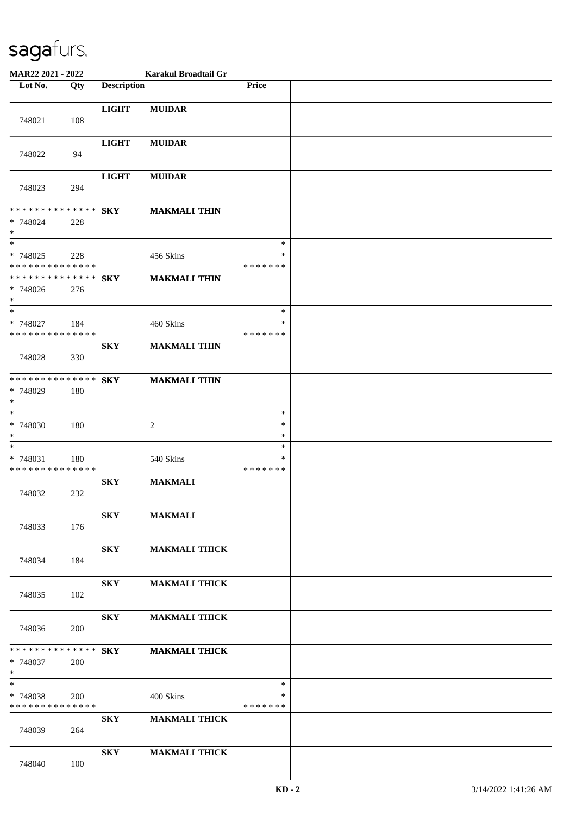| MAR22 2021 - 2022                                            |     |                    | Karakul Broadtail Gr |                                   |  |
|--------------------------------------------------------------|-----|--------------------|----------------------|-----------------------------------|--|
| Lot No.                                                      | Qty | <b>Description</b> |                      | Price                             |  |
| 748021                                                       | 108 | <b>LIGHT</b>       | <b>MUIDAR</b>        |                                   |  |
| 748022                                                       | 94  | <b>LIGHT</b>       | <b>MUIDAR</b>        |                                   |  |
| 748023                                                       | 294 | <b>LIGHT</b>       | <b>MUIDAR</b>        |                                   |  |
| * * * * * * * * * * * * * * *<br>* 748024<br>$\ast$          | 228 | <b>SKY</b>         | <b>MAKMALI THIN</b>  |                                   |  |
| $\overline{\ast}$<br>* 748025<br>* * * * * * * * * * * * * * | 228 |                    | 456 Skins            | $\ast$<br>$\ast$<br>* * * * * * * |  |
| * * * * * * * * * * * * * *<br>* 748026<br>$*$               | 276 | <b>SKY</b>         | <b>MAKMALI THIN</b>  |                                   |  |
| $*$<br>* 748027<br>* * * * * * * * * * * * * *               | 184 |                    | 460 Skins            | $\ast$<br>∗<br>* * * * * * *      |  |
| 748028                                                       | 330 | <b>SKY</b>         | <b>MAKMALI THIN</b>  |                                   |  |
| * * * * * * * * * * * * * *<br>* 748029<br>$\ast$            | 180 | <b>SKY</b>         | <b>MAKMALI THIN</b>  |                                   |  |
| $*$<br>* 748030<br>$\ast$                                    | 180 |                    | 2                    | $\ast$<br>$\ast$<br>$\ast$        |  |
| $*$<br>* 748031<br>* * * * * * * * * * * * * *               | 180 |                    | 540 Skins            | $\ast$<br>$\ast$<br>* * * * * * * |  |
| 748032                                                       | 232 | <b>SKY</b>         | <b>MAKMALI</b>       |                                   |  |
| 748033                                                       | 176 | <b>SKY</b>         | <b>MAKMALI</b>       |                                   |  |
| 748034                                                       | 184 | <b>SKY</b>         | <b>MAKMALI THICK</b> |                                   |  |
| 748035                                                       | 102 | <b>SKY</b>         | <b>MAKMALI THICK</b> |                                   |  |
| 748036                                                       | 200 | <b>SKY</b>         | <b>MAKMALI THICK</b> |                                   |  |
| * * * * * * * * * * * * * * *<br>* 748037<br>$*$             | 200 | <b>SKY</b>         | <b>MAKMALI THICK</b> |                                   |  |
| $*$<br>* 748038<br>* * * * * * * * * * * * * *               | 200 |                    | 400 Skins            | $\ast$<br>∗<br>* * * * * * *      |  |
| 748039                                                       | 264 | <b>SKY</b>         | <b>MAKMALI THICK</b> |                                   |  |
| 748040                                                       | 100 | <b>SKY</b>         | <b>MAKMALI THICK</b> |                                   |  |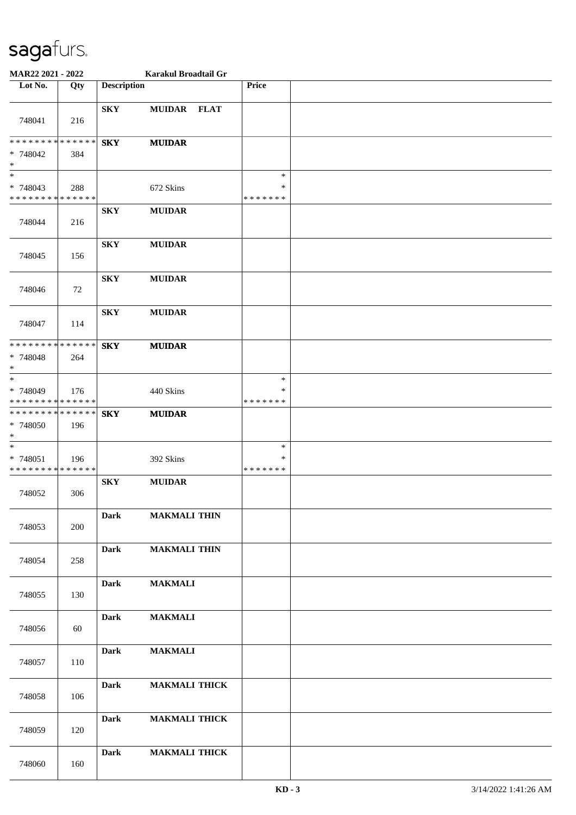| MAR22 2021 - 2022                                  |     |                         | Karakul Broadtail Gr |                                   |  |
|----------------------------------------------------|-----|-------------------------|----------------------|-----------------------------------|--|
| Lot No.                                            | Qty | <b>Description</b>      |                      | Price                             |  |
| 748041                                             | 216 | <b>SKY</b>              | MUIDAR FLAT          |                                   |  |
| * * * * * * * * * * * * * *<br>* 748042<br>$*$     | 384 | <b>SKY</b>              | <b>MUIDAR</b>        |                                   |  |
| $*$<br>* 748043<br>* * * * * * * * * * * * * *     | 288 |                         | 672 Skins            | $\ast$<br>$\ast$<br>* * * * * * * |  |
| 748044                                             | 216 | <b>SKY</b>              | <b>MUIDAR</b>        |                                   |  |
| 748045                                             | 156 | <b>SKY</b>              | <b>MUIDAR</b>        |                                   |  |
| 748046                                             | 72  | <b>SKY</b>              | <b>MUIDAR</b>        |                                   |  |
| 748047                                             | 114 | <b>SKY</b>              | <b>MUIDAR</b>        |                                   |  |
| * * * * * * * * * * * * * *<br>* 748048<br>$*$     | 264 | ${\bf S}{\bf K}{\bf Y}$ | <b>MUIDAR</b>        |                                   |  |
| $*$<br>* 748049<br>* * * * * * * * * * * * * *     | 176 |                         | 440 Skins            | $\ast$<br>∗<br>* * * * * * *      |  |
| ******** <mark>******</mark><br>* 748050<br>$\ast$ | 196 | <b>SKY</b>              | <b>MUIDAR</b>        |                                   |  |
| $\ast$<br>* 748051<br>* * * * * * * * * * * * * *  | 196 |                         | 392 Skins            | $\ast$<br>*<br>* * * * * * *      |  |
| 748052                                             | 306 | <b>SKY</b>              | <b>MUIDAR</b>        |                                   |  |
| 748053                                             | 200 | <b>Dark</b>             | <b>MAKMALI THIN</b>  |                                   |  |
| 748054                                             | 258 | <b>Dark</b>             | <b>MAKMALI THIN</b>  |                                   |  |
| 748055                                             | 130 | <b>Dark</b>             | <b>MAKMALI</b>       |                                   |  |
| 748056                                             | 60  | <b>Dark</b>             | <b>MAKMALI</b>       |                                   |  |
| 748057                                             | 110 | <b>Dark</b>             | <b>MAKMALI</b>       |                                   |  |
| 748058                                             | 106 | <b>Dark</b>             | <b>MAKMALI THICK</b> |                                   |  |
| 748059                                             | 120 | <b>Dark</b>             | <b>MAKMALI THICK</b> |                                   |  |
| 748060                                             | 160 | <b>Dark</b>             | <b>MAKMALI THICK</b> |                                   |  |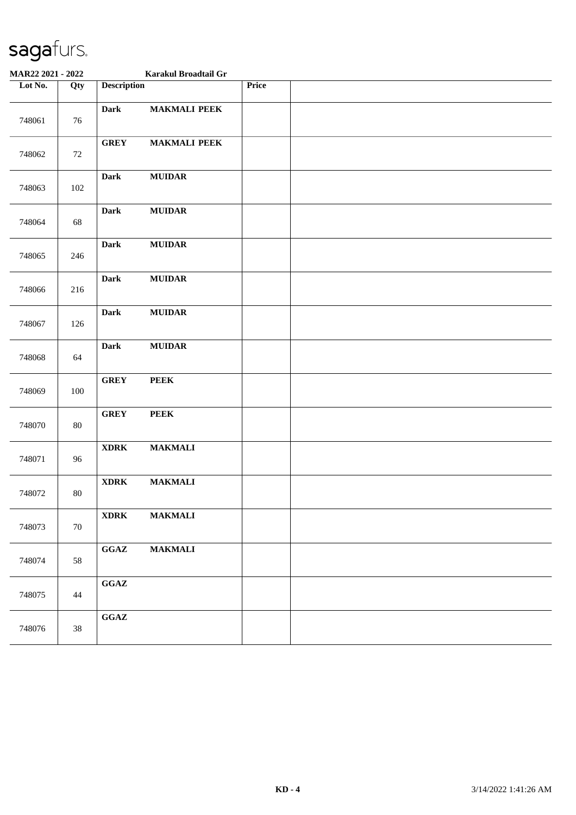| MAR22 2021 - 2022 |        |                                            | Karakul Broadtail Gr |       |  |
|-------------------|--------|--------------------------------------------|----------------------|-------|--|
| Lot No.           | Qty    | <b>Description</b>                         |                      | Price |  |
| 748061            | 76     | <b>Dark</b>                                | <b>MAKMALI PEEK</b>  |       |  |
| 748062            | 72     | <b>GREY</b>                                | <b>MAKMALI PEEK</b>  |       |  |
| 748063            | 102    | <b>Dark</b>                                | <b>MUIDAR</b>        |       |  |
| 748064            | 68     | <b>Dark</b>                                | <b>MUIDAR</b>        |       |  |
| 748065            | 246    | <b>Dark</b>                                | <b>MUIDAR</b>        |       |  |
| 748066            | 216    | <b>Dark</b>                                | $\bf MUIDAR$         |       |  |
| 748067            | 126    | <b>Dark</b>                                | ${\bf MUIDAR}$       |       |  |
| 748068            | 64     | <b>Dark</b>                                | <b>MUIDAR</b>        |       |  |
| 748069            | 100    | <b>GREY</b>                                | <b>PEEK</b>          |       |  |
| 748070            | 80     | <b>GREY</b>                                | <b>PEEK</b>          |       |  |
| 748071            | 96     | $\bold{XDRK}$                              | <b>MAKMALI</b>       |       |  |
| 748072            | 80     | $\bold{XDRK}$                              | <b>MAKMALI</b>       |       |  |
| 748073            | $70\,$ | $\bold{XDRK}$                              | <b>MAKMALI</b>       |       |  |
| 748074            | 58     | $\mathbf{G}\mathbf{G}\mathbf{A}\mathbf{Z}$ | <b>MAKMALI</b>       |       |  |
| 748075            | 44     | $\mathbf{G}\mathbf{G}\mathbf{A}\mathbf{Z}$ |                      |       |  |
| 748076            | $38\,$ | $\mathbf{G}\mathbf{G}\mathbf{A}\mathbf{Z}$ |                      |       |  |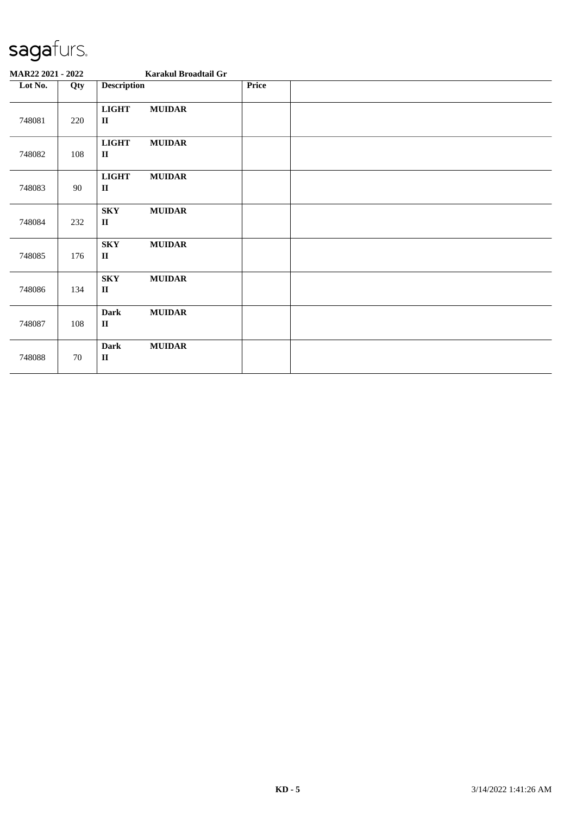| MAR22 2021 - 2022 |     |                                       | Karakul Broadtail Gr |       |  |  |
|-------------------|-----|---------------------------------------|----------------------|-------|--|--|
| Lot No.           | Qty | <b>Description</b>                    |                      | Price |  |  |
| 748081            | 220 | <b>LIGHT</b><br>$\mathbf{I}$          | <b>MUIDAR</b>        |       |  |  |
| 748082            | 108 | <b>LIGHT</b><br>$\mathbf{I}$          | <b>MUIDAR</b>        |       |  |  |
| 748083            | 90  | <b>LIGHT</b><br>$\mathbf{I}$          | <b>MUIDAR</b>        |       |  |  |
| 748084            | 232 | <b>SKY</b><br>$\rm II$                | <b>MUIDAR</b>        |       |  |  |
| 748085            | 176 | <b>SKY</b><br>$\mathbf{I}$            | <b>MUIDAR</b>        |       |  |  |
| 748086            | 134 | <b>SKY</b><br>$\rm II$                | <b>MUIDAR</b>        |       |  |  |
| 748087            | 108 | <b>Dark</b><br>$\rm II$               | <b>MUIDAR</b>        |       |  |  |
| 748088            | 70  | <b>Dark</b><br>$\mathbf{I}\mathbf{I}$ | <b>MUIDAR</b>        |       |  |  |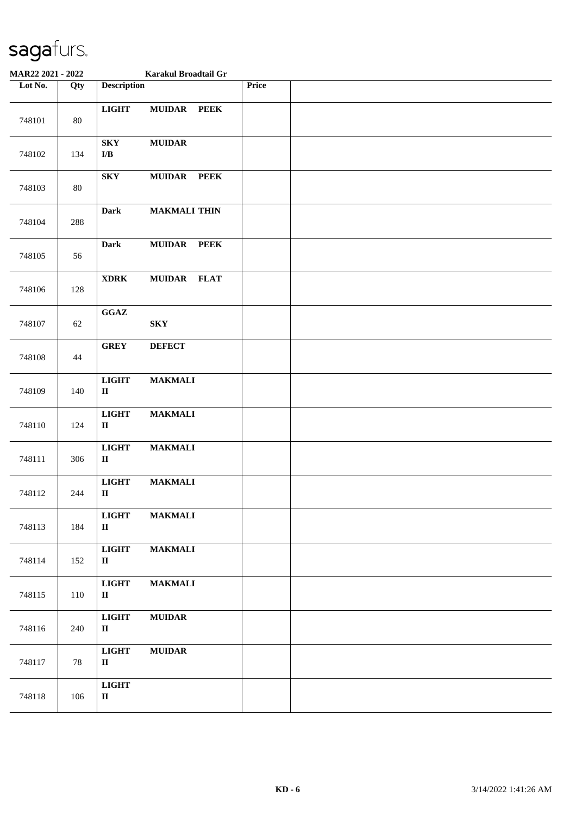| MAR22 2021 - 2022 |        | Karakul Broadtail Gr                               |                     |             |       |  |
|-------------------|--------|----------------------------------------------------|---------------------|-------------|-------|--|
| Lot No.           | Qty    | <b>Description</b>                                 |                     |             | Price |  |
| 748101            | 80     | <b>LIGHT</b>                                       | MUIDAR PEEK         |             |       |  |
| 748102            | 134    | ${\bf S}{\bf K}{\bf Y}$<br>$\mathbf{I}/\mathbf{B}$ | <b>MUIDAR</b>       |             |       |  |
| 748103            | $80\,$ | ${\bf S}{\bf K}{\bf Y}$                            | MUIDAR PEEK         |             |       |  |
| 748104            | 288    | <b>Dark</b>                                        | <b>MAKMALI THIN</b> |             |       |  |
| 748105            | 56     | <b>Dark</b>                                        | <b>MUIDAR</b>       | <b>PEEK</b> |       |  |
| 748106            | 128    | <b>XDRK</b>                                        | MUIDAR FLAT         |             |       |  |
| 748107            | 62     | $\mathbf{G}\mathbf{G}\mathbf{A}\mathbf{Z}$         | <b>SKY</b>          |             |       |  |
| 748108            | 44     | <b>GREY</b>                                        | <b>DEFECT</b>       |             |       |  |
| 748109            | 140    | <b>LIGHT</b><br>$\mathbf{I}\mathbf{I}$             | <b>MAKMALI</b>      |             |       |  |
| 748110            | 124    | <b>LIGHT</b><br>$\rm II$                           | <b>MAKMALI</b>      |             |       |  |
| 748111            | 306    | <b>LIGHT</b><br>$\rm II$                           | <b>MAKMALI</b>      |             |       |  |
| 748112            | 244    | <b>LIGHT</b><br>$\rm II$                           | <b>MAKMALI</b>      |             |       |  |
| 748113            | 184    | <b>LIGHT</b><br>$\rm II$                           | <b>MAKMALI</b>      |             |       |  |
| 748114            | 152    | <b>LIGHT</b><br>$\rm II$                           | <b>MAKMALI</b>      |             |       |  |
| 748115            | 110    | <b>LIGHT</b><br>$\mathbf{I}$                       | <b>MAKMALI</b>      |             |       |  |
| 748116            | 240    | <b>LIGHT</b><br>$\mathbf{I}$                       | <b>MUIDAR</b>       |             |       |  |
| 748117            | 78     | <b>LIGHT</b><br>$\mathbf{I}$                       | <b>MUIDAR</b>       |             |       |  |
| 748118            | 106    | <b>LIGHT</b><br>$\rm II$                           |                     |             |       |  |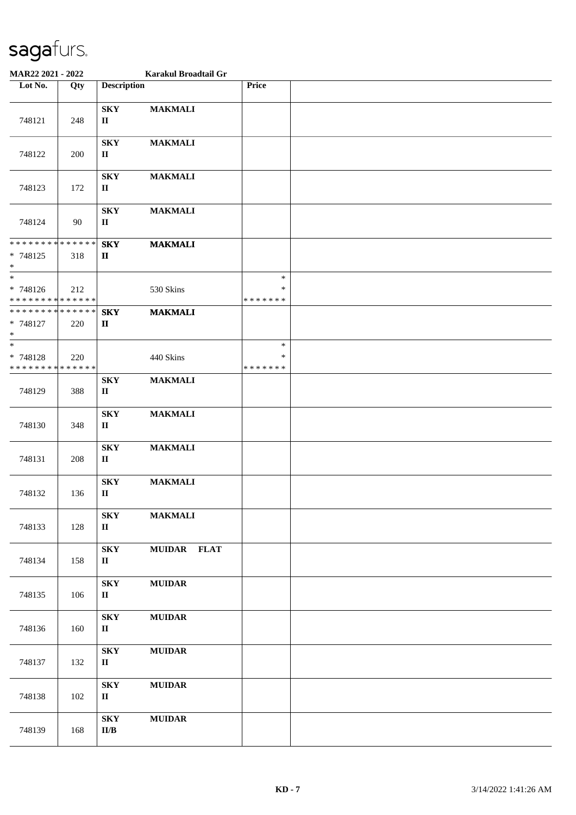| MAR22 2021 - 2022                                                |     |                                                     | Karakul Broadtail Gr |                                   |  |
|------------------------------------------------------------------|-----|-----------------------------------------------------|----------------------|-----------------------------------|--|
| Lot No.                                                          | Qty | <b>Description</b>                                  |                      | Price                             |  |
| 748121                                                           | 248 | ${\bf S}{\bf K}{\bf Y}$<br>$\mathbf{I}$             | <b>MAKMALI</b>       |                                   |  |
| 748122                                                           | 200 | <b>SKY</b><br>$\mathbf{I}$                          | <b>MAKMALI</b>       |                                   |  |
| 748123                                                           | 172 | <b>SKY</b><br>$\mathbf{I}$                          | <b>MAKMALI</b>       |                                   |  |
| 748124                                                           | 90  | ${\bf S}{\bf K}{\bf Y}$<br>$\rm II$                 | <b>MAKMALI</b>       |                                   |  |
| * * * * * * * * <mark>* * * * * * *</mark><br>* 748125<br>$\ast$ | 318 | <b>SKY</b><br>$\mathbf{I}$                          | <b>MAKMALI</b>       |                                   |  |
| * 748126<br>* * * * * * * * * * * * * *                          | 212 |                                                     | 530 Skins            | $\ast$<br>$\ast$<br>* * * * * * * |  |
| * * * * * * * * * * * * * *<br>* 748127<br>$\ast$                | 220 | <b>SKY</b><br>$\mathbf{I}$                          | <b>MAKMALI</b>       |                                   |  |
| $*$<br>* 748128<br>* * * * * * * * * * * * * *                   | 220 |                                                     | 440 Skins            | $\ast$<br>$\ast$<br>* * * * * * * |  |
| 748129                                                           | 388 | ${\bf S}{\bf K}{\bf Y}$<br>$\mathbf{I}$             | <b>MAKMALI</b>       |                                   |  |
| 748130                                                           | 348 | <b>SKY</b><br>$\mathbf{I}$                          | <b>MAKMALI</b>       |                                   |  |
| 748131                                                           | 208 | ${\bf S}{\bf K}{\bf Y}$<br>$\rm II$                 | <b>MAKMALI</b>       |                                   |  |
| 748132                                                           | 136 | <b>SKY</b><br>$\mathbf{I}$                          | <b>MAKMALI</b>       |                                   |  |
| 748133                                                           | 128 | <b>SKY</b><br>$\mathbf{I}$                          | <b>MAKMALI</b>       |                                   |  |
| 748134                                                           | 158 | <b>SKY</b><br>$\mathbf{I}$                          | MUIDAR FLAT          |                                   |  |
| 748135                                                           | 106 | <b>SKY</b><br>$\mathbf{I}$                          | <b>MUIDAR</b>        |                                   |  |
| 748136                                                           | 160 | ${\bf S}{\bf K}{\bf Y}$<br>$\mathbf{I}$             | <b>MUIDAR</b>        |                                   |  |
| 748137                                                           | 132 | <b>SKY</b><br>$\mathbf{I}$                          | <b>MUIDAR</b>        |                                   |  |
| 748138                                                           | 102 | <b>SKY</b><br>$\mathbf{I}$                          | <b>MUIDAR</b>        |                                   |  |
| 748139                                                           | 168 | ${\bf S}{\bf K}{\bf Y}$<br>$\mathbf{II}/\mathbf{B}$ | $\bf MUIDAR$         |                                   |  |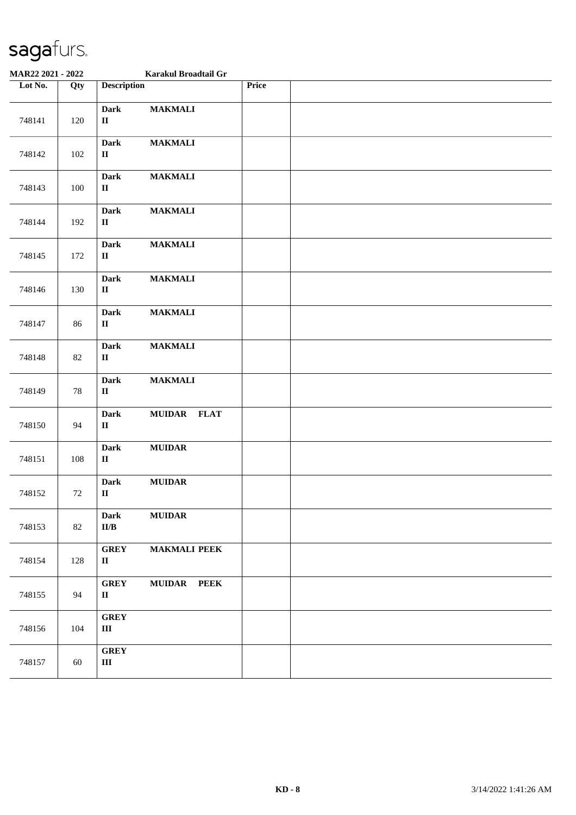| MAR22 2021 - 2022 |     | Karakul Broadtail Gr                                 |                     |       |  |
|-------------------|-----|------------------------------------------------------|---------------------|-------|--|
| Lot No.           | Qty | <b>Description</b>                                   |                     | Price |  |
| 748141            | 120 | <b>Dark</b><br>$\rm II$                              | <b>MAKMALI</b>      |       |  |
| 748142            | 102 | <b>Dark</b><br>$\rm II$                              | <b>MAKMALI</b>      |       |  |
| 748143            | 100 | <b>Dark</b><br>$\mathbf{I}$                          | <b>MAKMALI</b>      |       |  |
| 748144            | 192 | <b>Dark</b><br>$\mathbf H$                           | <b>MAKMALI</b>      |       |  |
| 748145            | 172 | <b>Dark</b><br>$\rm II$                              | <b>MAKMALI</b>      |       |  |
| 748146            | 130 | <b>Dark</b><br>$\mathbf H$                           | <b>MAKMALI</b>      |       |  |
| 748147            | 86  | <b>Dark</b><br>$\mathbf H$                           | <b>MAKMALI</b>      |       |  |
| 748148            | 82  | <b>Dark</b><br>$\mathbf{I}$                          | <b>MAKMALI</b>      |       |  |
| 748149            | 78  | <b>Dark</b><br>$\mathbf{I}\mathbf{I}$                | <b>MAKMALI</b>      |       |  |
| 748150            | 94  | <b>Dark</b><br>$\mathbf{I}$                          | MUIDAR FLAT         |       |  |
| 748151            | 108 | <b>Dark</b><br>$\mathbf H$                           | ${\bf MUIDAR}$      |       |  |
| 748152            | 72  | Dark<br>$\mathbf H$                                  | $\bf MUIDAR$        |       |  |
| 748153            | 82  | <b>Dark</b><br>$\mathbf{II}/\mathbf{B}$              | <b>MUIDAR</b>       |       |  |
| 748154            | 128 | <b>GREY</b><br>$\rm II$                              | <b>MAKMALI PEEK</b> |       |  |
| 748155            | 94  | <b>GREY</b><br>$\mathbf H$                           | MUIDAR PEEK         |       |  |
| 748156            | 104 | <b>GREY</b><br>$\rm III$                             |                     |       |  |
| 748157            | 60  | ${\bf G}\mathbf{R}\mathbf{E}\mathbf{Y}$<br>$\rm III$ |                     |       |  |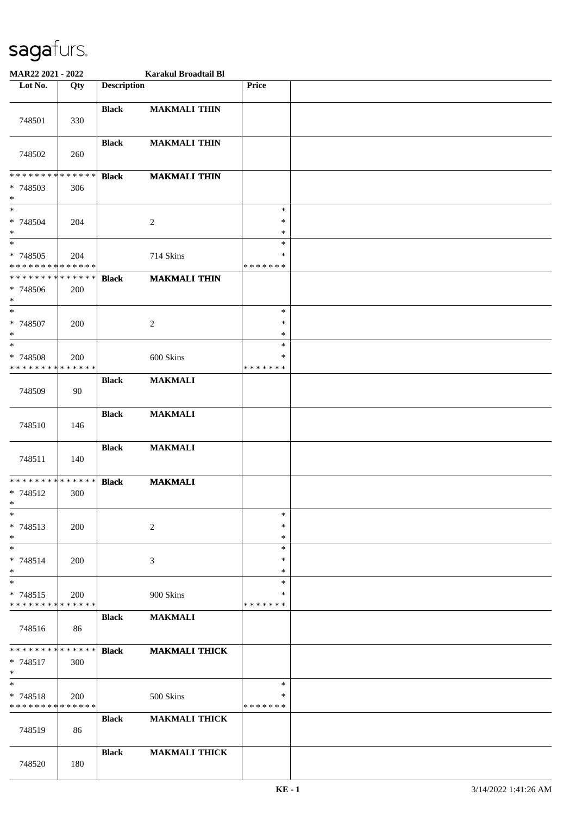| MAR22 2021 - 2022                                     |            |                    | Karakul Broadtail Bl |                              |  |
|-------------------------------------------------------|------------|--------------------|----------------------|------------------------------|--|
| Lot No.                                               | Qty        | <b>Description</b> |                      | <b>Price</b>                 |  |
| 748501                                                | 330        | <b>Black</b>       | <b>MAKMALI THIN</b>  |                              |  |
| 748502                                                | 260        | <b>Black</b>       | <b>MAKMALI THIN</b>  |                              |  |
| * * * * * * * * * * * * * *<br>* 748503<br>$\ast$     | 306        | <b>Black</b>       | <b>MAKMALI THIN</b>  |                              |  |
| $*$<br>* 748504<br>$\ast$<br>$\overline{\phantom{0}}$ | 204        |                    | 2                    | $\ast$<br>$\ast$<br>$\ast$   |  |
| * 748505<br>* * * * * * * * * * * * * *               | 204        |                    | 714 Skins            | $\ast$<br>*<br>* * * * * * * |  |
| * * * * * * * * * * * * * *<br>* 748506<br>$\ast$     | 200        | <b>Black</b>       | <b>MAKMALI THIN</b>  |                              |  |
| $*$<br>$* 748507$<br>$\ast$                           | 200        |                    | $\overline{c}$       | $\ast$<br>$\ast$<br>$\ast$   |  |
| $\ast$<br>* 748508<br>* * * * * * * * * * * * * *     | 200        |                    | 600 Skins            | *<br>*<br>* * * * * * *      |  |
| 748509                                                | 90         | <b>Black</b>       | <b>MAKMALI</b>       |                              |  |
| 748510                                                | 146        | <b>Black</b>       | <b>MAKMALI</b>       |                              |  |
| 748511                                                | 140        | <b>Black</b>       | <b>MAKMALI</b>       |                              |  |
| * * * * * * * * * * * * * *<br>* 748512<br>$\ast$     | 300        | <b>Black</b>       | <b>MAKMALI</b>       |                              |  |
| $\ast$<br>* 748513<br>$\ast$                          | 200        |                    | 2                    | $\ast$<br>$\ast$<br>$\ast$   |  |
| $\ast$<br>* 748514<br>$*$                             | 200        |                    | 3                    | $\ast$<br>$\ast$<br>*        |  |
| $\ast$<br>* 748515<br>* * * * * * * * * * * * * *     | <b>200</b> |                    | 900 Skins            | $\ast$<br>∗<br>* * * * * * * |  |
| 748516                                                | 86         | <b>Black</b>       | <b>MAKMALI</b>       |                              |  |
| * * * * * * * * * * * * * *<br>$* 748517$<br>$*$      | 300        | <b>Black</b>       | <b>MAKMALI THICK</b> |                              |  |
| $\ast$<br>$* 748518$<br>* * * * * * * * * * * * * *   | 200        |                    | 500 Skins            | $\ast$<br>*<br>* * * * * * * |  |
| 748519                                                | 86         | <b>Black</b>       | <b>MAKMALI THICK</b> |                              |  |
| 748520                                                | 180        | <b>Black</b>       | <b>MAKMALI THICK</b> |                              |  |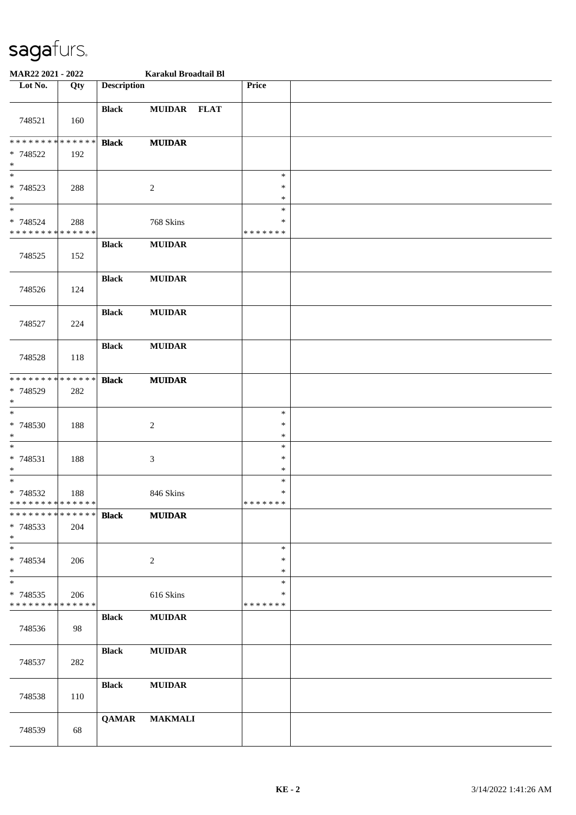| MAR22 2021 - 2022                                                   |     |                    | Karakul Broadtail Bl        |                                   |  |
|---------------------------------------------------------------------|-----|--------------------|-----------------------------|-----------------------------------|--|
| Lot No.                                                             | Qty | <b>Description</b> |                             | Price                             |  |
| 748521                                                              | 160 | <b>Black</b>       | MUIDAR FLAT                 |                                   |  |
| ******** <mark>******</mark><br>* 748522<br>$\ast$                  | 192 | <b>Black</b>       | <b>MUIDAR</b>               |                                   |  |
| $\overline{\phantom{0}}$<br>* 748523<br>$\ast$<br>$\overline{\ast}$ | 288 |                    | $\boldsymbol{2}$            | $\ast$<br>∗<br>$\ast$<br>$\ast$   |  |
| * 748524<br>* * * * * * * * * * * * * *                             | 288 |                    | 768 Skins                   | *<br>* * * * * * *                |  |
| 748525                                                              | 152 | <b>Black</b>       | <b>MUIDAR</b>               |                                   |  |
| 748526                                                              | 124 | <b>Black</b>       | <b>MUIDAR</b>               |                                   |  |
| 748527                                                              | 224 | <b>Black</b>       | <b>MUIDAR</b>               |                                   |  |
| 748528                                                              | 118 | <b>Black</b>       | <b>MUIDAR</b>               |                                   |  |
| * * * * * * * * * * * * * *<br>* 748529<br>$\ast$                   | 282 | <b>Black</b>       | <b>MUIDAR</b>               |                                   |  |
| $\ast$<br>* 748530<br>$\ast$                                        | 188 |                    | $\boldsymbol{2}$            | $\ast$<br>$\ast$<br>$\ast$        |  |
| $\ast$<br>$* 748531$<br>$\ast$                                      | 188 |                    | $\ensuremath{\mathfrak{Z}}$ | $\ast$<br>$\ast$<br>$\ast$        |  |
| $\ast$<br>$* 748532$<br>* * * * * * * * * * * * * *                 | 188 |                    | 846 Skins                   | $\ast$<br>$\ast$<br>* * * * * * * |  |
| * * * * * * * * * * * * * *<br>* 748533<br>$*$                      | 204 | <b>Black</b>       | <b>MUIDAR</b>               |                                   |  |
| $\ast$<br>* 748534<br>$*$                                           | 206 |                    | $\sqrt{2}$                  | $\ast$<br>∗<br>$\ast$             |  |
| $\ast$<br>* 748535<br>* * * * * * * * * * * * * *                   | 206 |                    | 616 Skins                   | $\ast$<br>∗<br>* * * * * * *      |  |
| 748536                                                              | 98  | <b>Black</b>       | <b>MUIDAR</b>               |                                   |  |
| 748537                                                              | 282 | <b>Black</b>       | <b>MUIDAR</b>               |                                   |  |
| 748538                                                              | 110 | <b>Black</b>       | <b>MUIDAR</b>               |                                   |  |
| 748539                                                              | 68  | <b>QAMAR</b>       | <b>MAKMALI</b>              |                                   |  |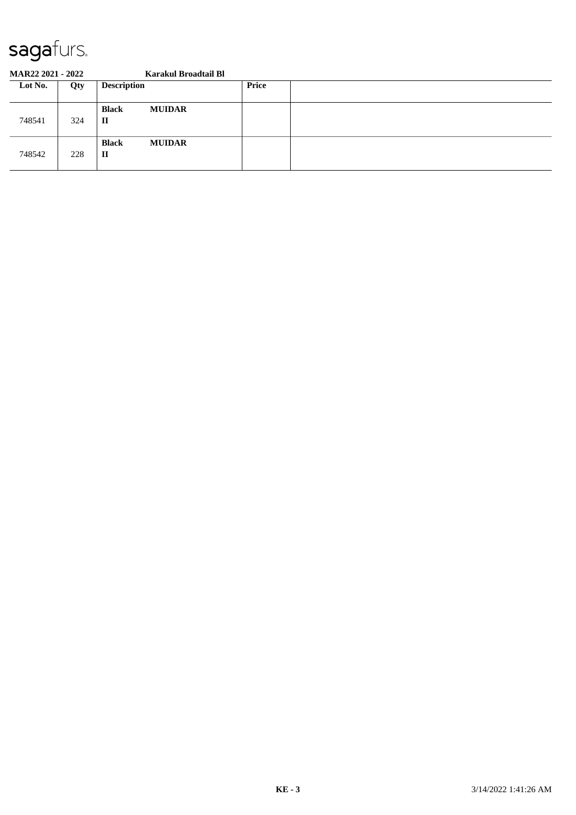| <b>MAR22 2021 - 2022</b> |     | Karakul Broadtail Bl                          |       |  |
|--------------------------|-----|-----------------------------------------------|-------|--|
| Lot No.                  | Qty | <b>Description</b>                            | Price |  |
| 748541                   | 324 | <b>MUIDAR</b><br><b>Black</b><br>п            |       |  |
| 748542                   | 228 | <b>Black</b><br><b>MUIDAR</b><br>$\mathbf{I}$ |       |  |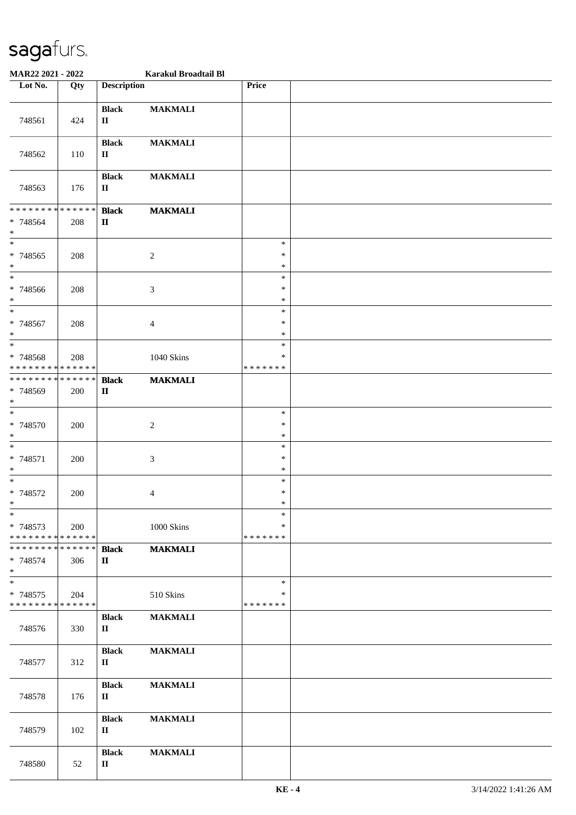| MAR22 2021 - 2022                                 |     |                              | Karakul Broadtail Bl |                                   |  |
|---------------------------------------------------|-----|------------------------------|----------------------|-----------------------------------|--|
| Lot No.                                           | Qty | <b>Description</b>           |                      | Price                             |  |
| 748561                                            | 424 | <b>Black</b><br>$\rm II$     | <b>MAKMALI</b>       |                                   |  |
| 748562                                            | 110 | <b>Black</b><br>$\mathbf{I}$ | <b>MAKMALI</b>       |                                   |  |
| 748563                                            | 176 | <b>Black</b><br>$\mathbf{I}$ | <b>MAKMALI</b>       |                                   |  |
| ******** <mark>******</mark><br>$* 748564$<br>$*$ | 208 | <b>Black</b><br>$\mathbf{I}$ | <b>MAKMALI</b>       |                                   |  |
| $\overline{\ast}$<br>* 748565<br>$*$              | 208 |                              | $\boldsymbol{2}$     | $\ast$<br>$\ast$<br>$\ast$        |  |
| $\ast$<br>* 748566<br>$*$                         | 208 |                              | 3                    | $\ast$<br>$\ast$<br>$\ast$        |  |
| $*$<br>$* 748567$<br>$\ast$                       | 208 |                              | 4                    | $\ast$<br>$\ast$<br>$\ast$        |  |
| $\ast$<br>* 748568<br>* * * * * * * * * * * * * * | 208 |                              | 1040 Skins           | $\ast$<br>*<br>* * * * * * *      |  |
| * * * * * * * * * * * * * *<br>* 748569<br>$*$    | 200 | <b>Black</b><br>$\mathbf{I}$ | <b>MAKMALI</b>       |                                   |  |
| $*$<br>$* 748570$<br>$*$                          | 200 |                              | $\boldsymbol{2}$     | $\ast$<br>$\ast$<br>$\ast$        |  |
| $*$<br>$* 748571$<br>$*$                          | 200 |                              | $\mathfrak{Z}$       | $\ast$<br>$\ast$<br>$\ast$        |  |
| $*$<br>$* 748572$<br>$*$                          | 200 |                              | 4                    | $\ast$<br>$\ast$<br>$\ast$        |  |
| $\ast$<br>* 748573<br>* * * * * * * * * * * * * * | 200 |                              | 1000 Skins           | $\ast$<br>∗<br>* * * * * * *      |  |
| * * * * * * * * * * * * * * *<br>* 748574<br>$*$  | 306 | <b>Black</b><br>$\mathbf{I}$ | <b>MAKMALI</b>       |                                   |  |
| $\ast$<br>* 748575<br>* * * * * * * * * * * * * * | 204 |                              | 510 Skins            | $\ast$<br>$\ast$<br>* * * * * * * |  |
| 748576                                            | 330 | <b>Black</b><br>$\mathbf{I}$ | <b>MAKMALI</b>       |                                   |  |
| 748577                                            | 312 | <b>Black</b><br>$\mathbf{I}$ | <b>MAKMALI</b>       |                                   |  |
| 748578                                            | 176 | <b>Black</b><br>$\mathbf{I}$ | <b>MAKMALI</b>       |                                   |  |
| 748579                                            | 102 | <b>Black</b><br>$\mathbf{I}$ | <b>MAKMALI</b>       |                                   |  |
| 748580                                            | 52  | <b>Black</b><br>$\mathbf{I}$ | <b>MAKMALI</b>       |                                   |  |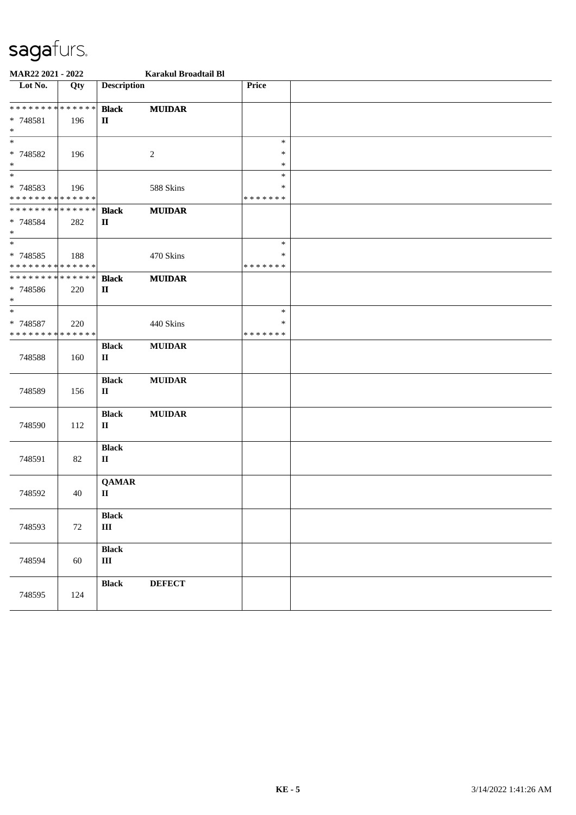| MAR22 2021 - 2022                       |     |                             | Karakul Broadtail Bl |                    |  |  |
|-----------------------------------------|-----|-----------------------------|----------------------|--------------------|--|--|
| Lot No.                                 | Qty | <b>Description</b>          |                      | Price              |  |  |
| * * * * * * * * * * * * * * *           |     | <b>Black</b>                | <b>MUIDAR</b>        |                    |  |  |
| * 748581<br>$*$                         | 196 | $\mathbf{I}$                |                      |                    |  |  |
| $\ast$                                  |     |                             |                      | $\ast$             |  |  |
| * 748582                                | 196 |                             | $\overline{2}$       | $\ast$             |  |  |
| $\ast$                                  |     |                             |                      | $\ast$             |  |  |
| $*$                                     |     |                             |                      | $\ast$             |  |  |
| * 748583<br>* * * * * * * * * * * * * * | 196 |                             | 588 Skins            | ∗<br>* * * * * * * |  |  |
| * * * * * * * * * * * * * * *           |     | <b>Black</b>                | <b>MUIDAR</b>        |                    |  |  |
| * 748584<br>$\ast$                      | 282 | $\mathbf{I}$                |                      |                    |  |  |
| $*$                                     |     |                             |                      | $\ast$             |  |  |
| * 748585                                | 188 |                             | 470 Skins            | $\ast$             |  |  |
| * * * * * * * * * * * * * *             |     |                             |                      | * * * * * * *      |  |  |
| * * * * * * * * * * * * * *             |     | <b>Black</b>                | <b>MUIDAR</b>        |                    |  |  |
| * 748586<br>$*$                         | 220 | $\mathbf{I}$                |                      |                    |  |  |
| $*$                                     |     |                             |                      | $\ast$             |  |  |
| * 748587                                | 220 |                             | 440 Skins            | $\ast$             |  |  |
| * * * * * * * * * * * * * *             |     |                             |                      | *******            |  |  |
| 748588                                  | 160 | <b>Black</b><br>$\mathbf H$ | <b>MUIDAR</b>        |                    |  |  |
|                                         |     |                             |                      |                    |  |  |
|                                         |     | <b>Black</b>                | <b>MUIDAR</b>        |                    |  |  |
| 748589                                  | 156 | $\mathbf H$                 |                      |                    |  |  |
|                                         |     | <b>Black</b>                | <b>MUIDAR</b>        |                    |  |  |
| 748590                                  | 112 | $\mathbf{I}$                |                      |                    |  |  |
|                                         |     | <b>Black</b>                |                      |                    |  |  |
| 748591                                  | 82  | $\rm II$                    |                      |                    |  |  |
|                                         |     |                             |                      |                    |  |  |
| 748592                                  | 40  | <b>QAMAR</b><br>П           |                      |                    |  |  |
|                                         |     |                             |                      |                    |  |  |
|                                         |     | <b>Black</b>                |                      |                    |  |  |
| 748593                                  | 72  | $\rm III$                   |                      |                    |  |  |
|                                         |     | <b>Black</b>                |                      |                    |  |  |
| 748594                                  | 60  | $\rm III$                   |                      |                    |  |  |
|                                         |     | <b>Black</b>                | <b>DEFECT</b>        |                    |  |  |
| 748595                                  | 124 |                             |                      |                    |  |  |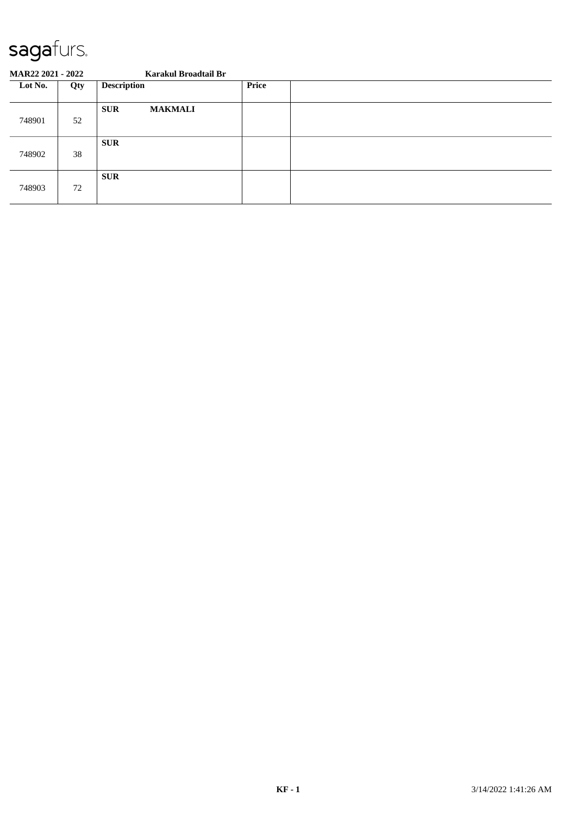| <b>MAR22 2021 - 2022</b> |     | Karakul Broadtail Br         |              |  |
|--------------------------|-----|------------------------------|--------------|--|
| Lot No.                  | Qty | <b>Description</b>           | <b>Price</b> |  |
| 748901                   | 52  | <b>MAKMALI</b><br><b>SUR</b> |              |  |
| 748902                   | 38  | <b>SUR</b>                   |              |  |
| 748903                   | 72  | <b>SUR</b>                   |              |  |